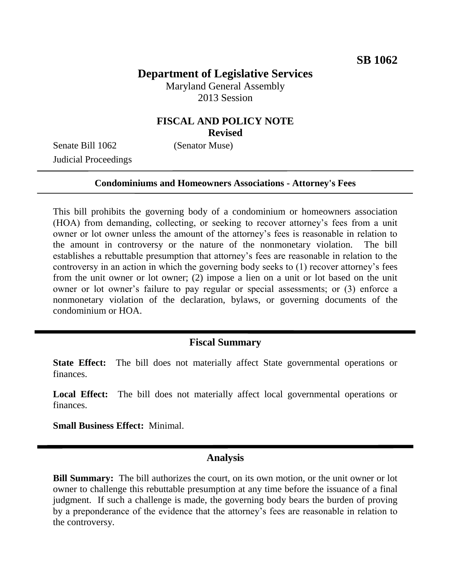# **Department of Legislative Services**

Maryland General Assembly 2013 Session

### **FISCAL AND POLICY NOTE Revised**

Senate Bill 1062 (Senator Muse) Judicial Proceedings

#### **Condominiums and Homeowners Associations - Attorney's Fees**

This bill prohibits the governing body of a condominium or homeowners association (HOA) from demanding, collecting, or seeking to recover attorney's fees from a unit owner or lot owner unless the amount of the attorney's fees is reasonable in relation to the amount in controversy or the nature of the nonmonetary violation. The bill establishes a rebuttable presumption that attorney's fees are reasonable in relation to the controversy in an action in which the governing body seeks to (1) recover attorney's fees from the unit owner or lot owner; (2) impose a lien on a unit or lot based on the unit owner or lot owner's failure to pay regular or special assessments; or (3) enforce a nonmonetary violation of the declaration, bylaws, or governing documents of the condominium or HOA.

#### **Fiscal Summary**

**State Effect:** The bill does not materially affect State governmental operations or finances.

**Local Effect:** The bill does not materially affect local governmental operations or finances.

**Small Business Effect:** Minimal.

### **Analysis**

**Bill Summary:** The bill authorizes the court, on its own motion, or the unit owner or lot owner to challenge this rebuttable presumption at any time before the issuance of a final judgment. If such a challenge is made, the governing body bears the burden of proving by a preponderance of the evidence that the attorney's fees are reasonable in relation to the controversy.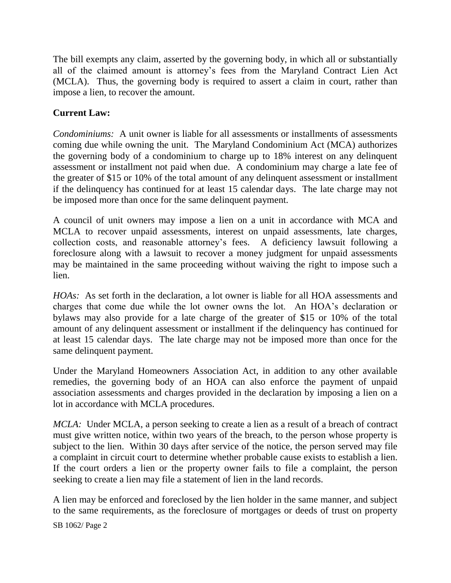The bill exempts any claim, asserted by the governing body, in which all or substantially all of the claimed amount is attorney's fees from the Maryland Contract Lien Act (MCLA). Thus, the governing body is required to assert a claim in court, rather than impose a lien, to recover the amount.

## **Current Law:**

*Condominiums:* A unit owner is liable for all assessments or installments of assessments coming due while owning the unit. The Maryland Condominium Act (MCA) authorizes the governing body of a condominium to charge up to 18% interest on any delinquent assessment or installment not paid when due. A condominium may charge a late fee of the greater of \$15 or 10% of the total amount of any delinquent assessment or installment if the delinquency has continued for at least 15 calendar days. The late charge may not be imposed more than once for the same delinquent payment.

A council of unit owners may impose a lien on a unit in accordance with MCA and MCLA to recover unpaid assessments, interest on unpaid assessments, late charges, collection costs, and reasonable attorney's fees. A deficiency lawsuit following a foreclosure along with a lawsuit to recover a money judgment for unpaid assessments may be maintained in the same proceeding without waiving the right to impose such a lien.

*HOAs:* As set forth in the declaration, a lot owner is liable for all HOA assessments and charges that come due while the lot owner owns the lot. An HOA's declaration or bylaws may also provide for a late charge of the greater of \$15 or 10% of the total amount of any delinquent assessment or installment if the delinquency has continued for at least 15 calendar days. The late charge may not be imposed more than once for the same delinquent payment.

Under the Maryland Homeowners Association Act, in addition to any other available remedies, the governing body of an HOA can also enforce the payment of unpaid association assessments and charges provided in the declaration by imposing a lien on a lot in accordance with MCLA procedures.

*MCLA*: Under MCLA, a person seeking to create a lien as a result of a breach of contract must give written notice, within two years of the breach, to the person whose property is subject to the lien. Within 30 days after service of the notice, the person served may file a complaint in circuit court to determine whether probable cause exists to establish a lien. If the court orders a lien or the property owner fails to file a complaint, the person seeking to create a lien may file a statement of lien in the land records.

A lien may be enforced and foreclosed by the lien holder in the same manner, and subject to the same requirements, as the foreclosure of mortgages or deeds of trust on property

SB 1062/ Page 2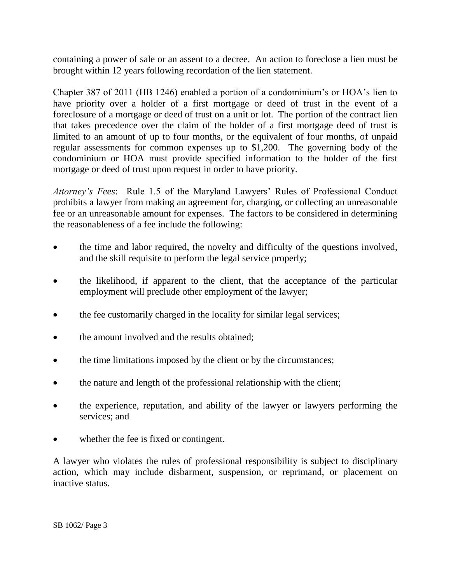containing a power of sale or an assent to a decree. An action to foreclose a lien must be brought within 12 years following recordation of the lien statement.

Chapter 387 of 2011 (HB 1246) enabled a portion of a condominium's or HOA's lien to have priority over a holder of a first mortgage or deed of trust in the event of a foreclosure of a mortgage or deed of trust on a unit or lot. The portion of the contract lien that takes precedence over the claim of the holder of a first mortgage deed of trust is limited to an amount of up to four months, or the equivalent of four months, of unpaid regular assessments for common expenses up to \$1,200. The governing body of the condominium or HOA must provide specified information to the holder of the first mortgage or deed of trust upon request in order to have priority.

*Attorney's Fees*: Rule 1.5 of the Maryland Lawyers' Rules of Professional Conduct prohibits a lawyer from making an agreement for, charging, or collecting an unreasonable fee or an unreasonable amount for expenses. The factors to be considered in determining the reasonableness of a fee include the following:

- the time and labor required, the novelty and difficulty of the questions involved, and the skill requisite to perform the legal service properly;
- the likelihood, if apparent to the client, that the acceptance of the particular employment will preclude other employment of the lawyer;
- the fee customarily charged in the locality for similar legal services;
- the amount involved and the results obtained;
- the time limitations imposed by the client or by the circumstances;
- the nature and length of the professional relationship with the client;
- the experience, reputation, and ability of the lawyer or lawyers performing the services; and
- whether the fee is fixed or contingent.

A lawyer who violates the rules of professional responsibility is subject to disciplinary action, which may include disbarment, suspension, or reprimand, or placement on inactive status.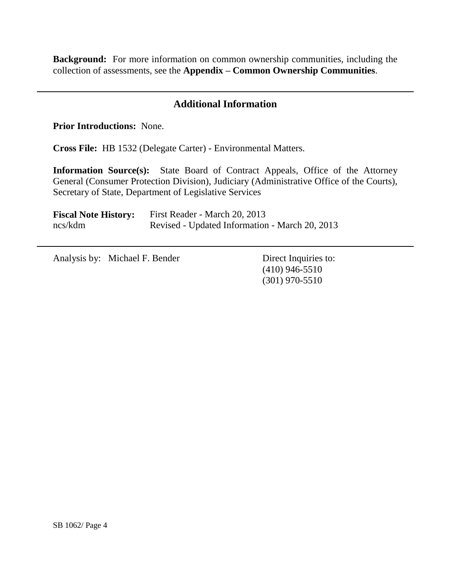**Background:** For more information on common ownership communities, including the collection of assessments, see the **Appendix – Common Ownership Communities**.

## **Additional Information**

**Prior Introductions:** None.

**Cross File:** HB 1532 (Delegate Carter) - Environmental Matters.

**Information Source(s):** State Board of Contract Appeals, Office of the Attorney General (Consumer Protection Division), Judiciary (Administrative Office of the Courts), Secretary of State, Department of Legislative Services

**Fiscal Note History:** First Reader - March 20, 2013 ncs/kdm Revised - Updated Information - March 20, 2013

Analysis by: Michael F. Bender Direct Inquiries to:

(410) 946-5510 (301) 970-5510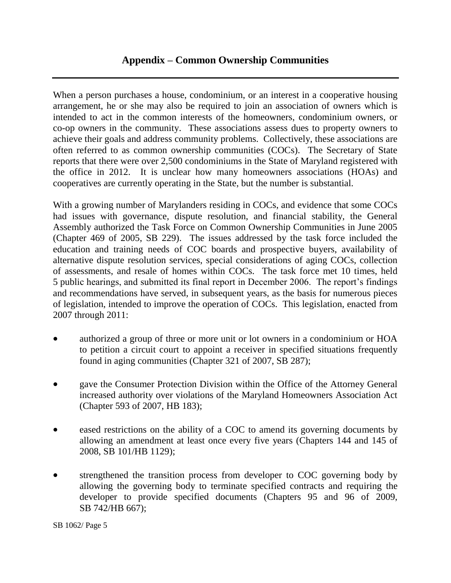When a person purchases a house, condominium, or an interest in a cooperative housing arrangement, he or she may also be required to join an association of owners which is intended to act in the common interests of the homeowners, condominium owners, or co-op owners in the community. These associations assess dues to property owners to achieve their goals and address community problems. Collectively, these associations are often referred to as common ownership communities (COCs). The Secretary of State reports that there were over 2,500 condominiums in the State of Maryland registered with the office in 2012. It is unclear how many homeowners associations (HOAs) and cooperatives are currently operating in the State, but the number is substantial.

With a growing number of Marylanders residing in COCs, and evidence that some COCs had issues with governance, dispute resolution, and financial stability, the General Assembly authorized the Task Force on Common Ownership Communities in June 2005 (Chapter 469 of 2005, SB 229). The issues addressed by the task force included the education and training needs of COC boards and prospective buyers, availability of alternative dispute resolution services, special considerations of aging COCs, collection of assessments, and resale of homes within COCs. The task force met 10 times, held 5 public hearings, and submitted its final report in December 2006. The report's findings and recommendations have served, in subsequent years, as the basis for numerous pieces of legislation, intended to improve the operation of COCs. This legislation, enacted from 2007 through 2011:

- authorized a group of three or more unit or lot owners in a condominium or HOA to petition a circuit court to appoint a receiver in specified situations frequently found in aging communities (Chapter 321 of 2007, SB 287);
- gave the Consumer Protection Division within the Office of the Attorney General increased authority over violations of the Maryland Homeowners Association Act (Chapter 593 of 2007, HB 183);
- eased restrictions on the ability of a COC to amend its governing documents by allowing an amendment at least once every five years (Chapters 144 and 145 of 2008, SB 101/HB 1129);
- strengthened the transition process from developer to COC governing body by allowing the governing body to terminate specified contracts and requiring the developer to provide specified documents (Chapters 95 and 96 of 2009, SB 742/HB 667);